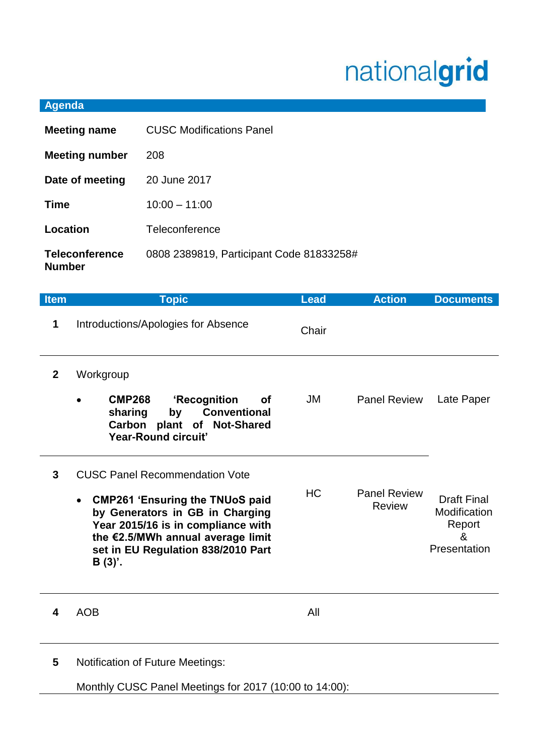## nationalgrid

## **Agenda**

| <b>Meeting name</b>                    | <b>CUSC Modifications Panel</b>          |  |
|----------------------------------------|------------------------------------------|--|
| <b>Meeting number</b>                  | 208                                      |  |
| Date of meeting                        | 20 June 2017                             |  |
| <b>Time</b>                            | $10:00 - 11:00$                          |  |
| Location                               | Teleconference                           |  |
| <b>Teleconference</b><br><b>Number</b> | 0808 2389819, Participant Code 81833258# |  |

| <b>Item</b>  | <b>Topic</b>                                                                                                                                                                                                                                    | <b>Lead</b> | <b>Action</b>                        | <b>Documents</b>                                                  |
|--------------|-------------------------------------------------------------------------------------------------------------------------------------------------------------------------------------------------------------------------------------------------|-------------|--------------------------------------|-------------------------------------------------------------------|
| 1            | Introductions/Apologies for Absence                                                                                                                                                                                                             | Chair       |                                      |                                                                   |
| $\mathbf{2}$ | Workgroup<br><b>CMP268</b><br>'Recognition<br><b>of</b><br><b>Conventional</b><br>sharing<br>by<br>Carbon plant of Not-Shared<br><b>Year-Round circuit'</b>                                                                                     | JM          | <b>Panel Review</b>                  | Late Paper                                                        |
| 3            | <b>CUSC Panel Recommendation Vote</b><br><b>CMP261 'Ensuring the TNUoS paid</b><br>by Generators in GB in Charging<br>Year 2015/16 is in compliance with<br>the €2.5/MWh annual average limit<br>set in EU Regulation 838/2010 Part<br>$B(3)$ . | <b>HC</b>   | <b>Panel Review</b><br><b>Review</b> | <b>Draft Final</b><br>Modification<br>Report<br>&<br>Presentation |
| 4            | <b>AOB</b>                                                                                                                                                                                                                                      | All         |                                      |                                                                   |

**5** Notification of Future Meetings:

Monthly CUSC Panel Meetings for 2017 (10:00 to 14:00):